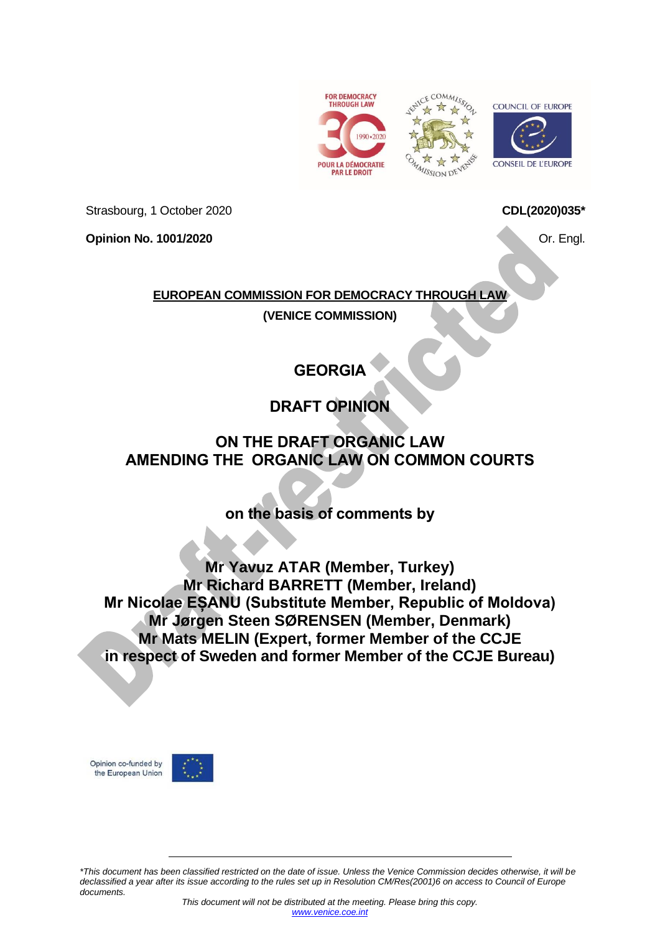





Strasbourg, 1 October 2020

**Opinion No. 1001/2020**

**CDL(2020)035\***

Or. Engl.

### **EUROPEAN COMMISSION FOR DEMOCRACY THROUGH LAW**

**(VENICE COMMISSION)**

# **GEORGIA**

## **DRAFT OPINION**

### **ON THE DRAFT ORGANIC LAW AMENDING THE ORGANIC LAW ON COMMON COURTS**

### **on the basis of comments by**

**Mr Yavuz ATAR (Member, Turkey) Mr Richard BARRETT (Member, Ireland) Mr Nicolae EȘANU (Substitute Member, Republic of Moldova) Mr Jørgen Steen SØRENSEN (Member, Denmark) Mr Mats MELIN (Expert, former Member of the CCJE in respect of Sweden and former Member of the CCJE Bureau)**

Opinion co-funded by the European Union



*\*This document has been classified restricted on the date of issue. Unless the Venice Commission decides otherwise, it will be declassified a year after its issue according to the rules set up in Resolution CM/Res(2001)6 on access to Council of Europe documents.*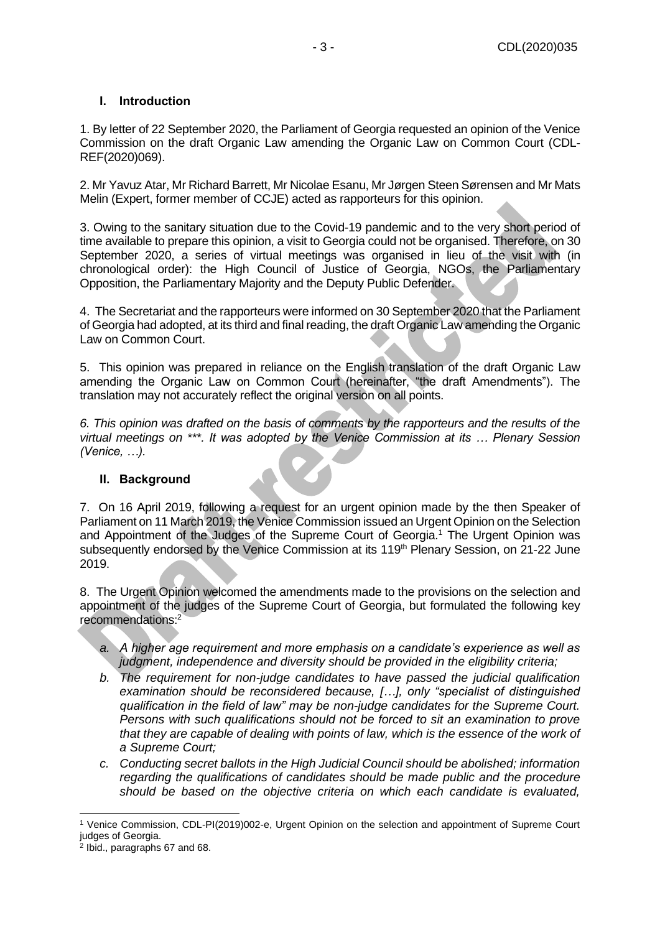### <span id="page-2-0"></span>**I. Introduction**

1. By letter of 22 September 2020, the Parliament of Georgia requested an opinion of the Venice Commission on the draft Organic Law amending the Organic Law on Common Court (CDL-REF(2020)069).

2. Mr Yavuz Atar, Mr Richard Barrett, Mr Nicolae Esanu, Mr Jørgen Steen Sørensen and Mr Mats Melin (Expert, former member of CCJE) acted as rapporteurs for this opinion.

3. Owing to the sanitary situation due to the Covid-19 pandemic and to the very short period of time available to prepare this opinion, a visit to Georgia could not be organised. Therefore, on 30 September 2020, a series of virtual meetings was organised in lieu of the visit with (in chronological order): the High Council of Justice of Georgia, NGOs, the Parliamentary Opposition, the Parliamentary Majority and the Deputy Public Defender.

4. The Secretariat and the rapporteurs were informed on 30 September 2020 that the Parliament of Georgia had adopted, at its third and final reading, the draft Organic Law amending the Organic Law on Common Court.

5. This opinion was prepared in reliance on the English translation of the draft Organic Law amending the Organic Law on Common Court (hereinafter, "the draft Amendments"). The translation may not accurately reflect the original version on all points.

*6. This opinion was drafted on the basis of comments by the rapporteurs and the results of the virtual meetings on \*\*\*. It was adopted by the Venice Commission at its … Plenary Session (Venice, …).*

#### <span id="page-2-1"></span>**II. Background**

7. On 16 April 2019, following a request for an urgent opinion made by the then Speaker of Parliament on 11 March 2019, the Venice Commission issued an Urgent Opinion on the Selection and Appointment of the Judges of the Supreme Court of Georgia.<sup>1</sup> The Urgent Opinion was subsequently endorsed by the Venice Commission at its 119<sup>th</sup> Plenary Session, on 21-22 June 2019.

8. The Urgent Opinion welcomed the amendments made to the provisions on the selection and appointment of the judges of the Supreme Court of Georgia, but formulated the following key recommendations:<sup>2</sup>

- *a. A higher age requirement and more emphasis on a candidate's experience as well as judgment, independence and diversity should be provided in the eligibility criteria;*
- *b. The requirement for non-judge candidates to have passed the judicial qualification examination should be reconsidered because, […], only "specialist of distinguished qualification in the field of law" may be non-judge candidates for the Supreme Court. Persons with such qualifications should not be forced to sit an examination to prove*  that they are capable of dealing with points of law, which is the essence of the work of *a Supreme Court;*
- *c. Conducting secret ballots in the High Judicial Council should be abolished; information regarding the qualifications of candidates should be made public and the procedure should be based on the objective criteria on which each candidate is evaluated,*

<sup>1</sup> Venice Commission, CDL-PI(2019)002-e, Urgent Opinion on the selection and appointment of Supreme Court judges of Georgia.

<sup>2</sup> Ibid., paragraphs 67 and 68.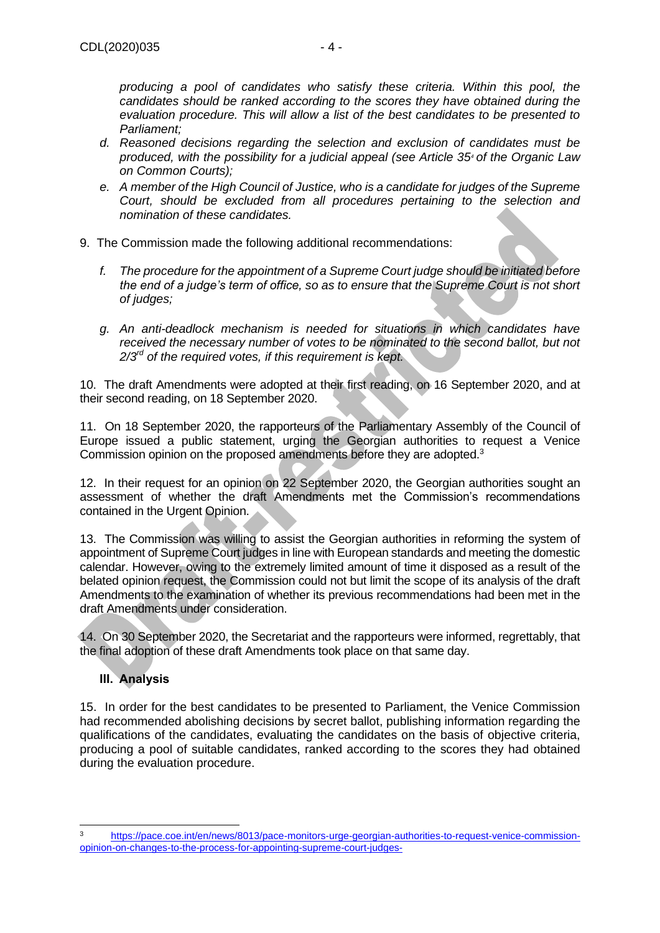*producing a pool of candidates who satisfy these criteria. Within this pool, the candidates should be ranked according to the scores they have obtained during the evaluation procedure. This will allow a list of the best candidates to be presented to Parliament;* 

- *d. Reasoned decisions regarding the selection and exclusion of candidates must be produced, with the possibility for a judicial appeal (see Article 35<sup>4</sup> of the Organic Law on Common Courts);*
- *e. A member of the High Council of Justice, who is a candidate for judges of the Supreme Court, should be excluded from all procedures pertaining to the selection and nomination of these candidates.*
- 9. The Commission made the following additional recommendations:
	- *f. The procedure for the appointment of a Supreme Court judge should be initiated before the end of a judge's term of office, so as to ensure that the Supreme Court is not short of judges;*
	- *g. An anti-deadlock mechanism is needed for situations in which candidates have*  received the necessary number of votes to be nominated to the second ballot, but not *2/3rd of the required votes, if this requirement is kept.*

10. The draft Amendments were adopted at their first reading, on 16 September 2020, and at their second reading, on 18 September 2020.

11. On 18 September 2020, the rapporteurs of the Parliamentary Assembly of the Council of Europe issued a public statement, urging the Georgian authorities to request a Venice Commission opinion on the proposed amendments before they are adopted.<sup>3</sup>

12. In their request for an opinion on 22 September 2020, the Georgian authorities sought an assessment of whether the draft Amendments met the Commission's recommendations contained in the Urgent Opinion.

13. The Commission was willing to assist the Georgian authorities in reforming the system of appointment of Supreme Court judges in line with European standards and meeting the domestic calendar. However, owing to the extremely limited amount of time it disposed as a result of the belated opinion request, the Commission could not but limit the scope of its analysis of the draft Amendments to the examination of whether its previous recommendations had been met in the draft Amendments under consideration.

14. On 30 September 2020, the Secretariat and the rapporteurs were informed, regrettably, that the final adoption of these draft Amendments took place on that same day.

### <span id="page-3-0"></span>**III. Analysis**

15. In order for the best candidates to be presented to Parliament, the Venice Commission had recommended abolishing decisions by secret ballot, publishing information regarding the qualifications of the candidates, evaluating the candidates on the basis of objective criteria, producing a pool of suitable candidates, ranked according to the scores they had obtained during the evaluation procedure.

<sup>3</sup> [https://pace.coe.int/en/news/8013/pace-monitors-urge-georgian-authorities-to-request-venice-commission](https://pace.coe.int/en/news/8013/pace-monitors-urge-georgian-authorities-to-request-venice-commission-opinion-on-changes-to-the-process-for-appointing-supreme-court-judges-)[opinion-on-changes-to-the-process-for-appointing-supreme-court-judges-](https://pace.coe.int/en/news/8013/pace-monitors-urge-georgian-authorities-to-request-venice-commission-opinion-on-changes-to-the-process-for-appointing-supreme-court-judges-)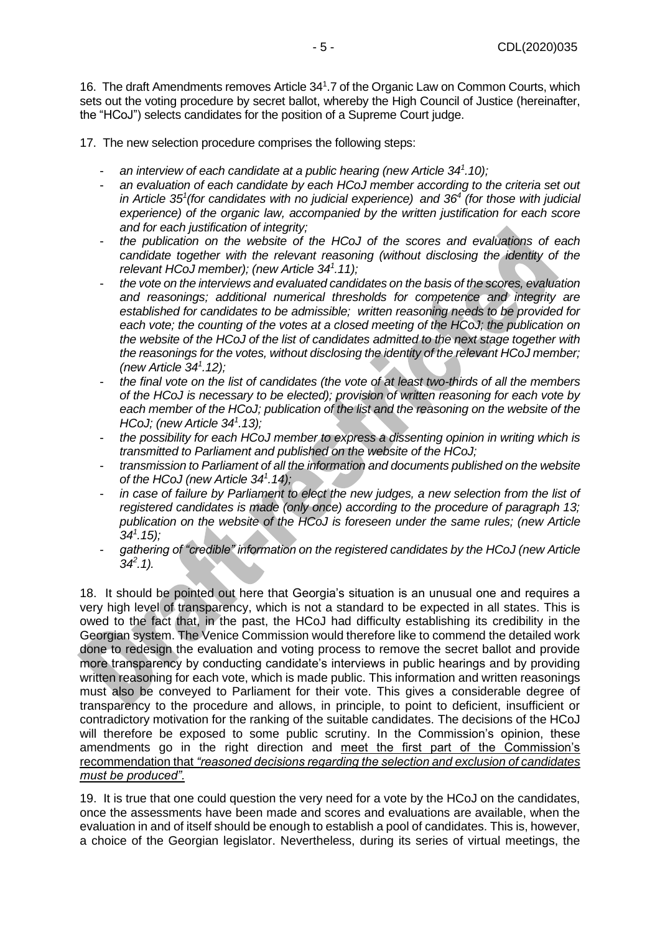16. The draft Amendments removes Article 34<sup>1</sup>.7 of the Organic Law on Common Courts, which sets out the voting procedure by secret ballot, whereby the High Council of Justice (hereinafter, the "HCoJ") selects candidates for the position of a Supreme Court judge.

17. The new selection procedure comprises the following steps:

- *an interview of each candidate at a public hearing (new Article 34<sup>1</sup> .10);*
- *an evaluation of each candidate by each HCoJ member according to the criteria set out in Article 35<sup>1</sup> (for candidates with no judicial experience) and 36<sup>4</sup> (for those with judicial experience) of the organic law, accompanied by the written justification for each score and for each justification of integrity;*
- *the publication on the website of the HCoJ of the scores and evaluations of each candidate together with the relevant reasoning (without disclosing the identity of the relevant HCoJ member); (new Article 34<sup>1</sup> .11);*
- *the vote on the interviews and evaluated candidates on the basis of the scores, evaluation and reasonings; additional numerical thresholds for competence and integrity are established for candidates to be admissible; written reasoning needs to be provided for each vote; the counting of the votes at a closed meeting of the HCoJ; the publication on the website of the HCoJ of the list of candidates admitted to the next stage together with the reasonings for the votes, without disclosing the identity of the relevant HCoJ member; (new Article 34<sup>1</sup> .12);*
- *the final vote on the list of candidates (the vote of at least two-thirds of all the members of the HCoJ is necessary to be elected); provision of written reasoning for each vote by each member of the HCoJ; publication of the list and the reasoning on the website of the HCoJ; (new Article 34<sup>1</sup> .13);*
- *the possibility for each HCoJ member to express a dissenting opinion in writing which is transmitted to Parliament and published on the website of the HCoJ;*
- *transmission to Parliament of all the information and documents published on the website of the HCoJ (new Article 34<sup>1</sup> .14);*
- in case of failure by Parliament to elect the new judges, a new selection from the list of *registered candidates is made (only once) according to the procedure of paragraph 13; publication on the website of the HCoJ is foreseen under the same rules; (new Article 34<sup>1</sup> .15);*
- *gathering of "credible" information on the registered candidates by the HCoJ (new Article 34<sup>2</sup> .1).*

18. It should be pointed out here that Georgia's situation is an unusual one and requires a very high level of transparency, which is not a standard to be expected in all states. This is owed to the fact that, in the past, the HCoJ had difficulty establishing its credibility in the Georgian system. The Venice Commission would therefore like to commend the detailed work done to redesign the evaluation and voting process to remove the secret ballot and provide more transparency by conducting candidate's interviews in public hearings and by providing written reasoning for each vote, which is made public. This information and written reasonings must also be conveyed to Parliament for their vote. This gives a considerable degree of transparency to the procedure and allows, in principle, to point to deficient, insufficient or contradictory motivation for the ranking of the suitable candidates. The decisions of the HCoJ will therefore be exposed to some public scrutiny. In the Commission's opinion, these amendments go in the right direction and meet the first part of the Commission's recommendation that *"reasoned decisions regarding the selection and exclusion of candidates must be produced".*

19. It is true that one could question the very need for a vote by the HCoJ on the candidates, once the assessments have been made and scores and evaluations are available, when the evaluation in and of itself should be enough to establish a pool of candidates. This is, however, a choice of the Georgian legislator. Nevertheless, during its series of virtual meetings, the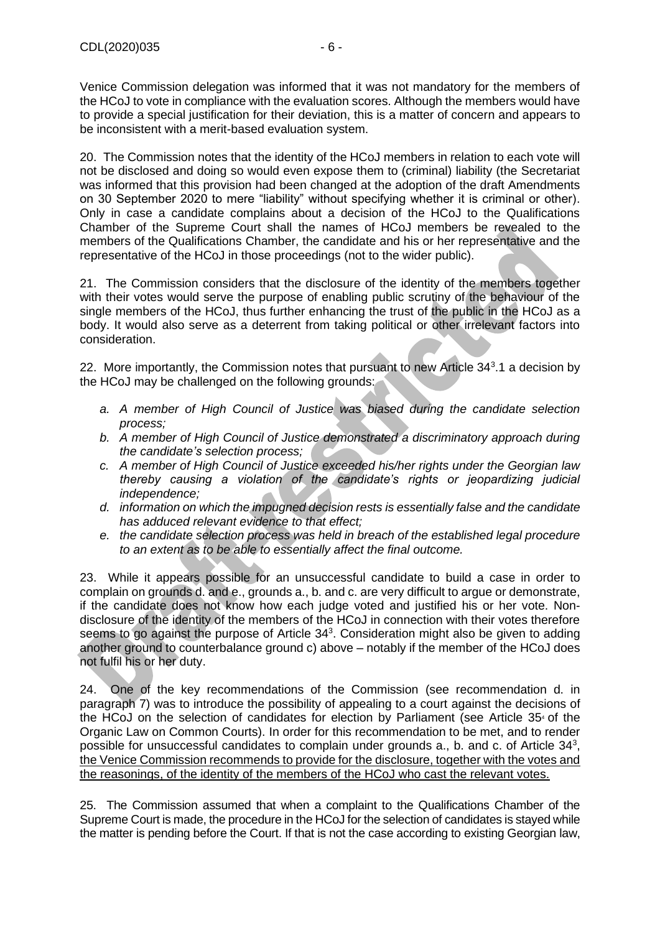Venice Commission delegation was informed that it was not mandatory for the members of the HCoJ to vote in compliance with the evaluation scores. Although the members would have to provide a special justification for their deviation, this is a matter of concern and appears to be inconsistent with a merit-based evaluation system.

20. The Commission notes that the identity of the HCoJ members in relation to each vote will not be disclosed and doing so would even expose them to (criminal) liability (the Secretariat was informed that this provision had been changed at the adoption of the draft Amendments on 30 September 2020 to mere "liability" without specifying whether it is criminal or other). Only in case a candidate complains about a decision of the HCoJ to the Qualifications Chamber of the Supreme Court shall the names of HCoJ members be revealed to the members of the Qualifications Chamber, the candidate and his or her representative and the representative of the HCoJ in those proceedings (not to the wider public).

21. The Commission considers that the disclosure of the identity of the members together with their votes would serve the purpose of enabling public scrutiny of the behaviour of the single members of the HCoJ, thus further enhancing the trust of the public in the HCoJ as a body. It would also serve as a deterrent from taking political or other irrelevant factors into consideration.

22. More importantly, the Commission notes that pursuant to new Article  $34<sup>3</sup>$ .1 a decision by the HCoJ may be challenged on the following grounds:

- *a. A member of High Council of Justice was biased during the candidate selection process;*
- *b. A member of High Council of Justice demonstrated a discriminatory approach during the candidate's selection process;*
- *c. A member of High Council of Justice exceeded his/her rights under the Georgian law thereby causing a violation of the candidate's rights or jeopardizing judicial independence;*
- *d. information on which the impugned decision rests is essentially false and the candidate has adduced relevant evidence to that effect;*
- *e. the candidate selection process was held in breach of the established legal procedure to an extent as to be able to essentially affect the final outcome.*

23. While it appears possible for an unsuccessful candidate to build a case in order to complain on grounds d. and e., grounds a., b. and c. are very difficult to argue or demonstrate, if the candidate does not know how each judge voted and justified his or her vote. Nondisclosure of the identity of the members of the HCoJ in connection with their votes therefore seems to go against the purpose of Article  $34<sup>3</sup>$ . Consideration might also be given to adding another ground to counterbalance ground c) above – notably if the member of the HCoJ does not fulfil his or her duty.

24. One of the key recommendations of the Commission (see recommendation d. in paragraph 7) was to introduce the possibility of appealing to a court against the decisions of the HCoJ on the selection of candidates for election by Parliament (see Article 35<sup>4</sup> of the Organic Law on Common Courts). In order for this recommendation to be met, and to render possible for unsuccessful candidates to complain under grounds  $a_i$ , b. and  $c_i$ . of Article 34 $^3$ , the Venice Commission recommends to provide for the disclosure, together with the votes and the reasonings, of the identity of the members of the HCoJ who cast the relevant votes.

25. The Commission assumed that when a complaint to the Qualifications Chamber of the Supreme Court is made, the procedure in the HCoJ for the selection of candidates is stayed while the matter is pending before the Court. If that is not the case according to existing Georgian law,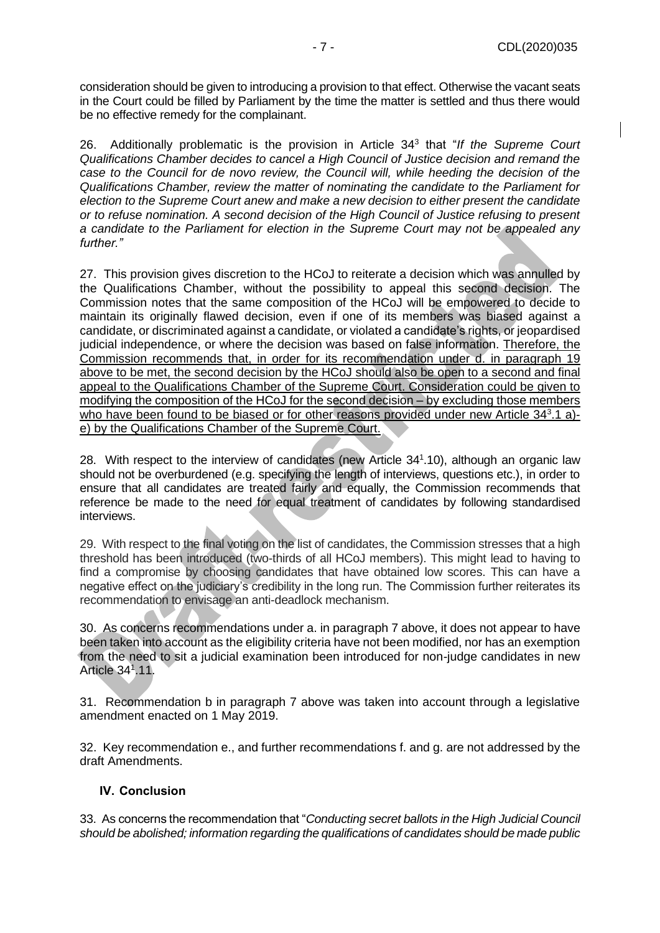consideration should be given to introducing a provision to that effect. Otherwise the vacant seats in the Court could be filled by Parliament by the time the matter is settled and thus there would be no effective remedy for the complainant.

26. Additionally problematic is the provision in Article 34<sup>3</sup> that "*If the Supreme Court Qualifications Chamber decides to cancel a High Council of Justice decision and remand the case to the Council for de novo review, the Council will, while heeding the decision of the Qualifications Chamber, review the matter of nominating the candidate to the Parliament for election to the Supreme Court anew and make a new decision to either present the candidate or to refuse nomination. A second decision of the High Council of Justice refusing to present a candidate to the Parliament for election in the Supreme Court may not be appealed any further."*

27. This provision gives discretion to the HCoJ to reiterate a decision which was annulled by the Qualifications Chamber, without the possibility to appeal this second decision. The Commission notes that the same composition of the HCoJ will be empowered to decide to maintain its originally flawed decision, even if one of its members was biased against a candidate, or discriminated against a candidate, or violated a candidate's rights, or jeopardised judicial independence, or where the decision was based on false information. Therefore, the Commission recommends that, in order for its recommendation under d. in paragraph 19 above to be met, the second decision by the HCoJ should also be open to a second and final appeal to the Qualifications Chamber of the Supreme Court. Consideration could be given to modifying the composition of the HCoJ for the second decision – by excluding those members who have been found to be biased or for other reasons provided under new Article 343.1 a)e) by the Qualifications Chamber of the Supreme Court.

28. With respect to the interview of candidates (new Article 341.10), although an organic law should not be overburdened (e.g. specifying the length of interviews, questions etc.), in order to ensure that all candidates are treated fairly and equally, the Commission recommends that reference be made to the need for equal treatment of candidates by following standardised interviews.

29. With respect to the final voting on the list of candidates, the Commission stresses that a high threshold has been introduced (two-thirds of all HCoJ members). This might lead to having to find a compromise by choosing candidates that have obtained low scores. This can have a negative effect on the judiciary's credibility in the long run. The Commission further reiterates its recommendation to envisage an anti-deadlock mechanism.

30. As concerns recommendations under a. in paragraph 7 above, it does not appear to have been taken into account as the eligibility criteria have not been modified, nor has an exemption from the need to sit a judicial examination been introduced for non-judge candidates in new Article 34<sup>1</sup> .11.

31. Recommendation b in paragraph 7 above was taken into account through a legislative amendment enacted on 1 May 2019.

32. Key recommendation e., and further recommendations f. and g. are not addressed by the draft Amendments.

### <span id="page-6-0"></span>**IV. Conclusion**

33. As concerns the recommendation that "*Conducting secret ballots in the High Judicial Council should be abolished; information regarding the qualifications of candidates should be made public*